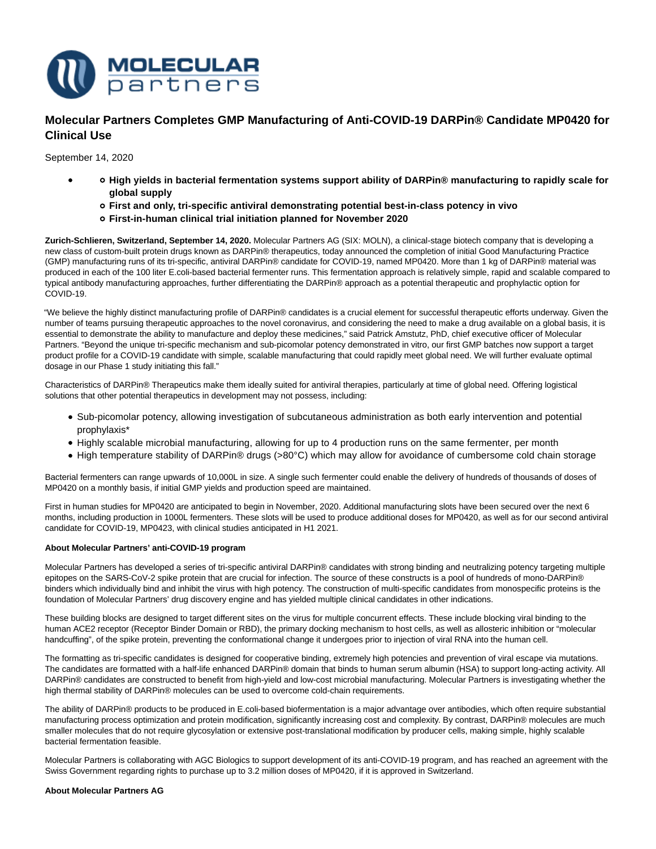

# **Molecular Partners Completes GMP Manufacturing of Anti-COVID-19 DARPin® Candidate MP0420 for Clinical Use**

September 14, 2020

- **High yields in bacterial fermentation systems support ability of DARPin® manufacturing to rapidly scale for global supply**
	- **First and only, tri-specific antiviral demonstrating potential best-in-class potency in vivo**
	- **First-in-human clinical trial initiation planned for November 2020**

**Zurich-Schlieren, Switzerland, September 14, 2020.** Molecular Partners AG (SIX: MOLN), a clinical-stage biotech company that is developing a new class of custom-built protein drugs known as DARPin® therapeutics, today announced the completion of initial Good Manufacturing Practice (GMP) manufacturing runs of its tri-specific, antiviral DARPin® candidate for COVID-19, named MP0420. More than 1 kg of DARPin® material was produced in each of the 100 liter E.coli-based bacterial fermenter runs. This fermentation approach is relatively simple, rapid and scalable compared to typical antibody manufacturing approaches, further differentiating the DARPin® approach as a potential therapeutic and prophylactic option for COVID-19.

"We believe the highly distinct manufacturing profile of DARPin® candidates is a crucial element for successful therapeutic efforts underway. Given the number of teams pursuing therapeutic approaches to the novel coronavirus, and considering the need to make a drug available on a global basis, it is essential to demonstrate the ability to manufacture and deploy these medicines," said Patrick Amstutz, PhD, chief executive officer of Molecular Partners. "Beyond the unique tri-specific mechanism and sub-picomolar potency demonstrated in vitro, our first GMP batches now support a target product profile for a COVID-19 candidate with simple, scalable manufacturing that could rapidly meet global need. We will further evaluate optimal dosage in our Phase 1 study initiating this fall."

Characteristics of DARPin® Therapeutics make them ideally suited for antiviral therapies, particularly at time of global need. Offering logistical solutions that other potential therapeutics in development may not possess, including:

- Sub-picomolar potency, allowing investigation of subcutaneous administration as both early intervention and potential prophylaxis\*
- Highly scalable microbial manufacturing, allowing for up to 4 production runs on the same fermenter, per month
- High temperature stability of DARPin® drugs (>80°C) which may allow for avoidance of cumbersome cold chain storage

Bacterial fermenters can range upwards of 10,000L in size. A single such fermenter could enable the delivery of hundreds of thousands of doses of MP0420 on a monthly basis, if initial GMP yields and production speed are maintained.

First in human studies for MP0420 are anticipated to begin in November, 2020. Additional manufacturing slots have been secured over the next 6 months, including production in 1000L fermenters. These slots will be used to produce additional doses for MP0420, as well as for our second antiviral candidate for COVID-19, MP0423, with clinical studies anticipated in H1 2021.

# **About Molecular Partners' anti-COVID-19 program**

Molecular Partners has developed a series of tri-specific antiviral DARPin® candidates with strong binding and neutralizing potency targeting multiple epitopes on the SARS-CoV-2 spike protein that are crucial for infection. The source of these constructs is a pool of hundreds of mono-DARPin® binders which individually bind and inhibit the virus with high potency. The construction of multi-specific candidates from monospecific proteins is the foundation of Molecular Partners' drug discovery engine and has yielded multiple clinical candidates in other indications.

These building blocks are designed to target different sites on the virus for multiple concurrent effects. These include blocking viral binding to the human ACE2 receptor (Receptor Binder Domain or RBD), the primary docking mechanism to host cells, as well as allosteric inhibition or "molecular handcuffing", of the spike protein, preventing the conformational change it undergoes prior to injection of viral RNA into the human cell.

The formatting as tri-specific candidates is designed for cooperative binding, extremely high potencies and prevention of viral escape via mutations. The candidates are formatted with a half-life enhanced DARPin® domain that binds to human serum albumin (HSA) to support long-acting activity. All DARPin® candidates are constructed to benefit from high-yield and low-cost microbial manufacturing. Molecular Partners is investigating whether the high thermal stability of DARPin® molecules can be used to overcome cold-chain requirements.

The ability of DARPin® products to be produced in E.coli-based biofermentation is a major advantage over antibodies, which often require substantial manufacturing process optimization and protein modification, significantly increasing cost and complexity. By contrast, DARPin® molecules are much smaller molecules that do not require glycosylation or extensive post-translational modification by producer cells, making simple, highly scalable bacterial fermentation feasible.

Molecular Partners is collaborating with AGC Biologics to support development of its anti-COVID-19 program, and has reached an agreement with the Swiss Government regarding rights to purchase up to 3.2 million doses of MP0420, if it is approved in Switzerland.

## **About Molecular Partners AG**